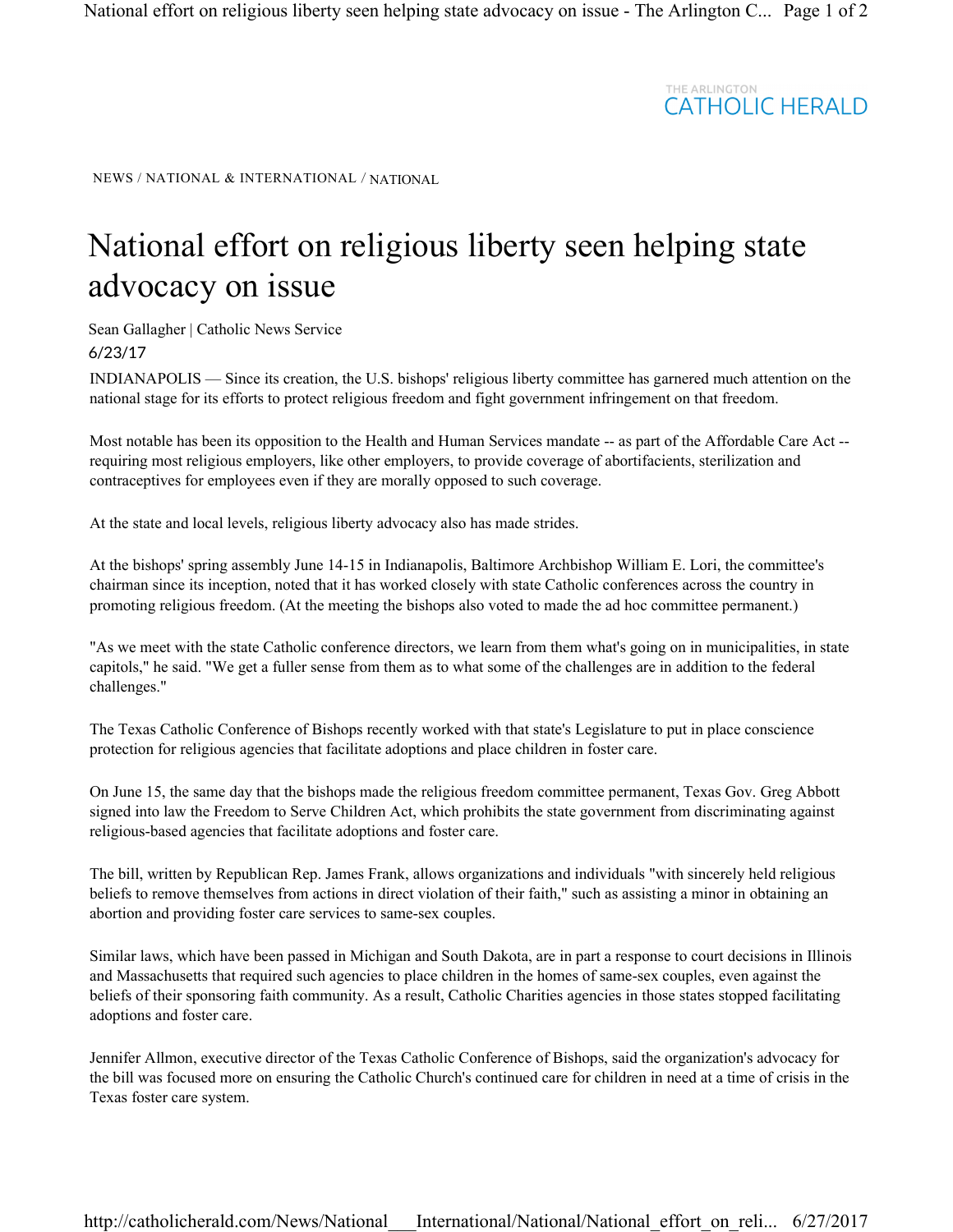## THE ARLINGTON<br>CATHOLIC HERALD

NEWS / NATIONAL & INTERNATIONAL / NATIONAL

## National effort on religious liberty seen helping state advocacy on issue

Sean Gallagher | Catholic News Service 6/23/17

INDIANAPOLIS — Since its creation, the U.S. bishops' religious liberty committee has garnered much attention on the national stage for its efforts to protect religious freedom and fight government infringement on that freedom.

Most notable has been its opposition to the Health and Human Services mandate -- as part of the Affordable Care Act - requiring most religious employers, like other employers, to provide coverage of abortifacients, sterilization and contraceptives for employees even if they are morally opposed to such coverage.

At the state and local levels, religious liberty advocacy also has made strides.

At the bishops' spring assembly June 14-15 in Indianapolis, Baltimore Archbishop William E. Lori, the committee's chairman since its inception, noted that it has worked closely with state Catholic conferences across the country in promoting religious freedom. (At the meeting the bishops also voted to made the ad hoc committee permanent.)

"As we meet with the state Catholic conference directors, we learn from them what's going on in municipalities, in state capitols," he said. "We get a fuller sense from them as to what some of the challenges are in addition to the federal challenges."

The Texas Catholic Conference of Bishops recently worked with that state's Legislature to put in place conscience protection for religious agencies that facilitate adoptions and place children in foster care.

On June 15, the same day that the bishops made the religious freedom committee permanent, Texas Gov. Greg Abbott signed into law the Freedom to Serve Children Act, which prohibits the state government from discriminating against religious-based agencies that facilitate adoptions and foster care.

The bill, written by Republican Rep. James Frank, allows organizations and individuals "with sincerely held religious beliefs to remove themselves from actions in direct violation of their faith," such as assisting a minor in obtaining an abortion and providing foster care services to same-sex couples.

Similar laws, which have been passed in Michigan and South Dakota, are in part a response to court decisions in Illinois and Massachusetts that required such agencies to place children in the homes of same-sex couples, even against the beliefs of their sponsoring faith community. As a result, Catholic Charities agencies in those states stopped facilitating adoptions and foster care.

Jennifer Allmon, executive director of the Texas Catholic Conference of Bishops, said the organization's advocacy for the bill was focused more on ensuring the Catholic Church's continued care for children in need at a time of crisis in the Texas foster care system.